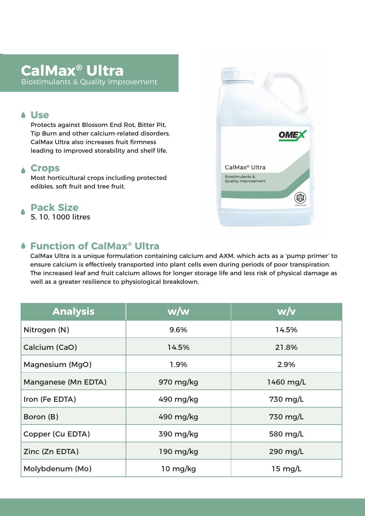# **CalMax® Ultra**

Biostimulants & Quality Improvement

#### **Use**

Protects against Blossom End Rot, Bitter Pit, Tip Burn and other calcium-related disorders. CalMax Ultra also increases fruit firmness leading to improved storability and shelf life.

## **Crops**

Most horticultural crops including protected edibles, soft fruit and tree fruit.

# **Pack Size**

5, 10, 1000 litres

## **Function of CalMax® Ultra**

CalMax Ultra is a unique formulation containing calcium and AXM, which acts as a 'pump primer' to ensure calcium is effectively transported into plant cells even during periods of poor transpiration. The increased leaf and fruit calcium allows for longer storage life and less risk of physical damage as well as a greater resilience to physiological breakdown.

| <b>Analysis</b>     | w/w                                                   | w/v       |
|---------------------|-------------------------------------------------------|-----------|
| Nitrogen (N)        | 9.6%                                                  | 14.5%     |
| Calcium (CaO)       | 14.5%                                                 | 21.8%     |
| Magnesium (MgO)     | 1.9%                                                  | 2.9%      |
| Manganese (Mn EDTA) | 970 mg/kg                                             | 1460 mg/L |
| Iron (Fe EDTA)      | 490 mg/kg<br>730 mg/L                                 |           |
| Boron (B)           | 490 mg/kg                                             | 730 mg/L  |
| Copper (Cu EDTA)    | 390 mg/kg                                             | 580 mg/L  |
| Zinc (Zn EDTA)      | 290 mg/L<br>190 mg/kg                                 |           |
| Molybdenum (Mo)     | $10 \frac{\text{mg}}{\text{kg}}$<br>$15 \text{ mg/L}$ |           |